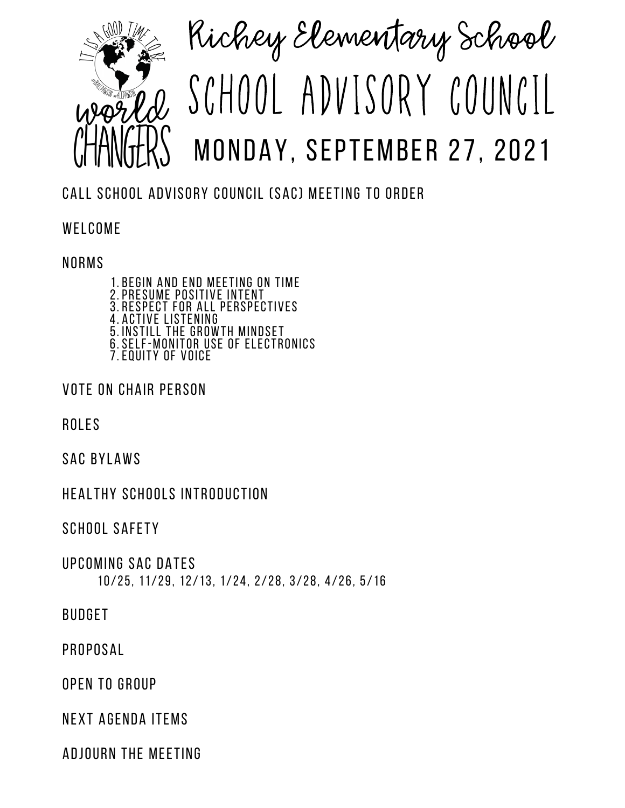

## Richey Elementary School SCHOOL ADVISORY COUNCIL MONDAY, SEPTEMBER 27, 2021

CALL SCHOOL ADVISORY COUNCIL (SAC) MEETING TO ORDER

WELCOME

## NORMS

1. BEGIN AND END MEETING ON TIME PRESUME POSITIVE INTENT 2. 3. RESPECT FOR ALL PERSPECTIVES ACTIVE LISTENING INSTILL THE GROWTH MINDSET SELF-MONITOR USE OF ELECTRONICS 7.EQUITY OF VOICE 4. 5. 6.

VOTE ON CHAIR PERSON

ROLES

SAC BYLAWS

HEALTHY SCHOOLS INTRODUCTION

SCHOOL SAFETY

10/25, 11/29, 12/13, 1/24, 2/28, 3/28, 4/26, 5/16 UPCOMING SAC DATES

BUDGET

PROPOSAL

OPEN TO GROUP

NEXT AGENDA ITEMS

ADJOURN THE MEETING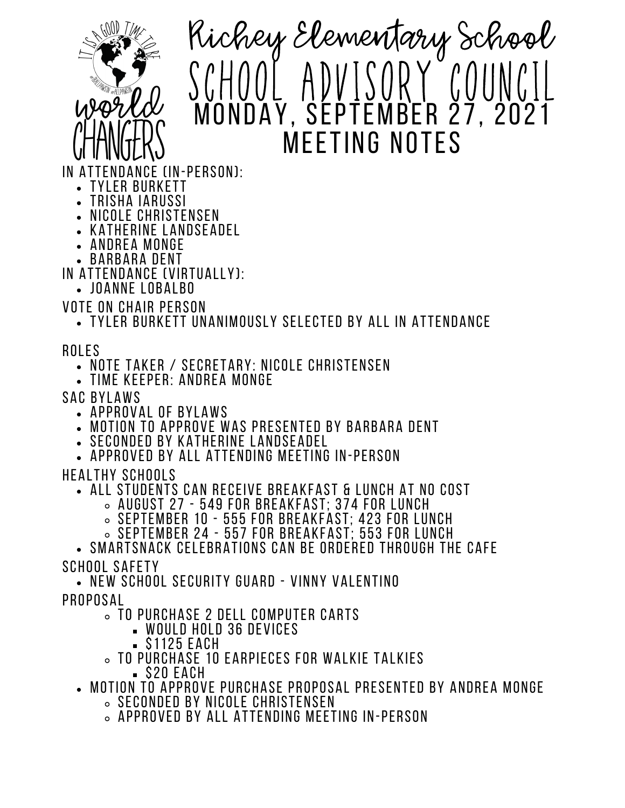

Richey Elementary School SCHOOL ADVISORY COUNCIL MONDAY, SEPTEMBER 27, 2021 **MEETING NO** 

IN ATTENDANCE (IN-PERSON):

- YLER BURKETT
- TRISHA IARUSSI
- NICOLE CHRISTENSEN
- KATHERINE LANDSEADEL • ANDREA MONGE
- BARBARA DENT

IN ATTENDANCE (VIRTUALLY):

JOANNE LOBALBO

VOTE ON CHAIR PERSON

TYLER BURKETT UNANIMOUSLY SELECTED BY ALL IN ATTENDANCE

ROLES

- NOTE TAKER / SECRETARY: NICOLE CHRISTENSEN
- TIME KEEPER: ANDREA MONGE

SAC BYLAWS

- APPROVAL OF BYLAWS
- MOTION TO APPROVE WAS PRESENTED BY BARBARA DENT
- SECONDED BY KATHERINE LANDSEADEL
- APPROVED BY ALL ATTENDING MEETING IN-PERSON

HEALTHY SCHOOLS

- ALL STUDENTS CAN RECEIVE BREAKFAST & LUNCH AT NO COST
	- AUGUST 27 549 FOR BREAKFAST; 374 FOR LUNCH
	- $\,\circ\,$  september 10 555 for Breakfast: 423 for Lunch
	- $\,\circ\,$  SEPTEMBER 24 557 FOR BREAKFAST: 553 FOR LUNCH

SMARTSNACK CELEBRATIONS CAN BE ORDERED THROUGH THE CAFE SCHOOL SAFETY

NEW SCHOOL SECURITY GUARD - VINNY VALENTINO PROPOSAL

- TO PURCHASE 2 DELL COMPUTER CARTS
	- WOULD HOLD 36 DEVICES
	- S1125 EACH
- TO PURCHASE 10 EARPIECES FOR WALKIE TALKIES
	- \$20 EACH
- MOTION TO APPROVE PURCHASE PROPOSAL PRESENTED BY ANDREA MONGE
	- $\,\circ\,$  seconded by Nicole Christensen
	- $\,\circ\,$  Approved by all attending meeting in-person